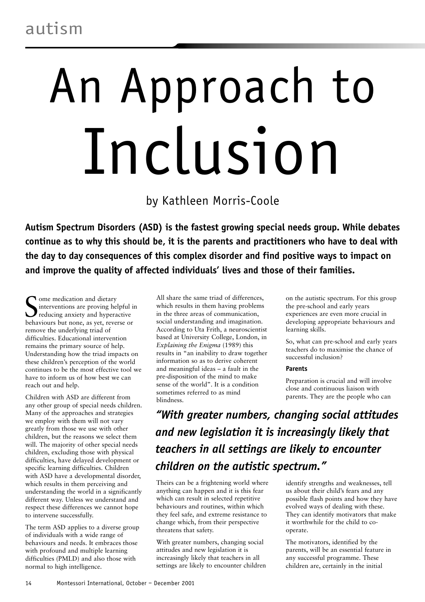# autism

# An Approach to Inclusion

by Kathleen Morris-Coole

**Autism Spectrum Disorders (ASD) is the fastest growing special needs group. While debates continue as to why this should be, it is the parents and practitioners who have to deal with the day to day consequences of this complex disorder and find positive ways to impact on and improve the quality of affected individuals' lives and those of their families.**

Some medication and dietary<br>
interventions are proving helpful if<br>
behaviours but none, as yet, reverse or **T** ome medication and dietary interventions are proving helpful in reducing anxiety and hyperactive remove the underlying triad of difficulties. Educational intervention remains the primary source of help. Understanding how the triad impacts on these children's perception of the world continues to be the most effective tool we have to inform us of how best we can reach out and help.

Children with ASD are different from any other group of special needs children. Many of the approaches and strategies we employ with them will not vary greatly from those we use with other children, but the reasons we select them will. The majority of other special needs children, excluding those with physical difficulties, have delayed development or specific learning difficulties. Children with ASD have a developmental disorder, which results in them perceiving and understanding the world in a significantly different way. Unless we understand and respect these differences we cannot hope to intervene successfully.

The term ASD applies to a diverse group of individuals with a wide range of behaviours and needs. It embraces those with profound and multiple learning difficulties (PMLD) and also those with normal to high intelligence.

All share the same triad of differences, which results in them having problems in the three areas of communication, social understanding and imagination. According to Uta Frith, a neuroscientist based at University College, London, in *Explaining the Enigma* (1989) this results in "an inability to draw together information so as to derive coherent and meaningful ideas – a fault in the pre-disposition of the mind to make sense of the world". It is a condition sometimes referred to as mind blindness.

on the autistic spectrum. For this group the pre-school and early years experiences are even more crucial in developing appropriate behaviours and learning skills.

So, what can pre-school and early years teachers do to maximise the chance of successful inclusion?

# **Parents**

Preparation is crucial and will involve close and continuous liaison with parents. They are the people who can

*"With greater numbers, changing social attitudes and new legislation it is increasingly likely that teachers in all settings are likely to encounter children on the autistic spectrum."*

Theirs can be a frightening world where anything can happen and it is this fear which can result in selected repetitive behaviours and routines, within which they feel safe, and extreme resistance to change which, from their perspective threatens that safety.

With greater numbers, changing social attitudes and new legislation it is increasingly likely that teachers in all settings are likely to encounter children identify strengths and weaknesses, tell us about their child's fears and any possible flash points and how they have evolved ways of dealing with these. They can identify motivators that make it worthwhile for the child to cooperate.

The motivators, identified by the parents, will be an essential feature in any successful programme. These children are, certainly in the initial